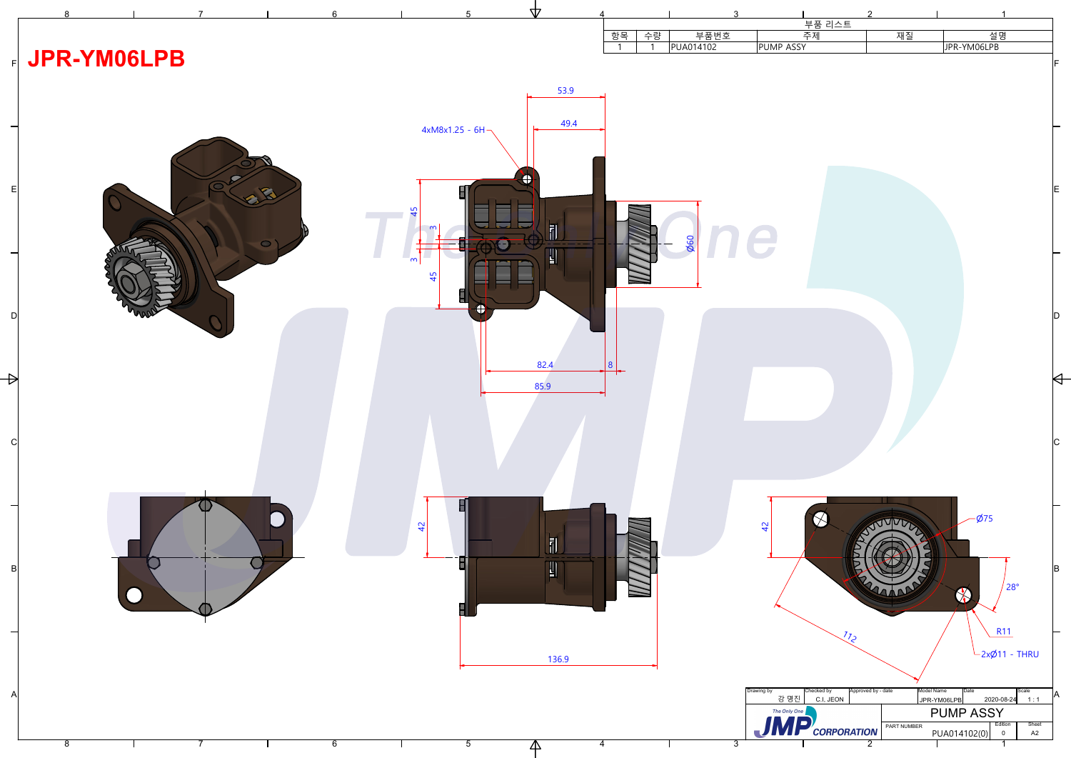

| 4              |                    | 3                 |                    |                         | $\mathcal{P}$                    |                                   |                           |
|----------------|--------------------|-------------------|--------------------|-------------------------|----------------------------------|-----------------------------------|---------------------------|
|                | 수량<br>항목<br>1<br>1 | 부품번호<br>PUA014102 | PUMP ASSY          | 부품 리스트<br>주제            | 재질                               | 설명<br>JPR-YM06LPB                 |                           |
| 9              |                    |                   |                    |                         |                                  |                                   | IF                        |
| $\overline{A}$ |                    |                   |                    |                         |                                  |                                   |                           |
|                |                    |                   |                    |                         |                                  |                                   |                           |
|                |                    |                   |                    |                         |                                  |                                   | E.                        |
|                |                    |                   |                    |                         |                                  |                                   |                           |
|                |                    | 090               |                    |                         |                                  |                                   |                           |
|                |                    |                   |                    |                         |                                  |                                   |                           |
|                |                    |                   |                    |                         |                                  |                                   | ID                        |
|                |                    |                   |                    |                         |                                  |                                   |                           |
|                | 8                  |                   |                    |                         |                                  |                                   |                           |
|                |                    |                   |                    |                         |                                  |                                   |                           |
|                |                    |                   |                    |                         |                                  |                                   | $\overline{\mathsf{C}}$   |
|                |                    |                   |                    |                         |                                  |                                   |                           |
|                |                    |                   | $\overline{4}$     |                         | <b>RATHLING</b>                  | $\phi$ 75                         |                           |
|                |                    |                   |                    |                         |                                  |                                   | <b>B</b>                  |
|                |                    |                   |                    |                         | Regional                         | 28°                               |                           |
|                |                    |                   |                    | $\sqrt[7]{5}$           |                                  | <b>R11</b>                        |                           |
|                |                    |                   |                    |                         |                                  | $-2x/211 - THRU$                  |                           |
|                |                    |                   | Drawing by<br>강 명진 | Checked by<br>C.I, JEON | Approved by - date<br>Model Name | Date<br>2020-08-24<br>JPR-YM06LPB | Scale<br><b>JA</b><br>1:1 |
|                |                    |                   | The Only One       | $JMP$ $_{CORPORTION}$   | PART NUMBER                      | <b>PUMP ASSY</b><br>Edition       | Sheet                     |
| $\overline{4}$ |                    | $\overline{3}$    |                    |                         | $\overline{2}$                   | PUA014102(0)<br>$\pmb{0}$<br>1    | A2                        |
|                |                    |                   |                    |                         |                                  |                                   |                           |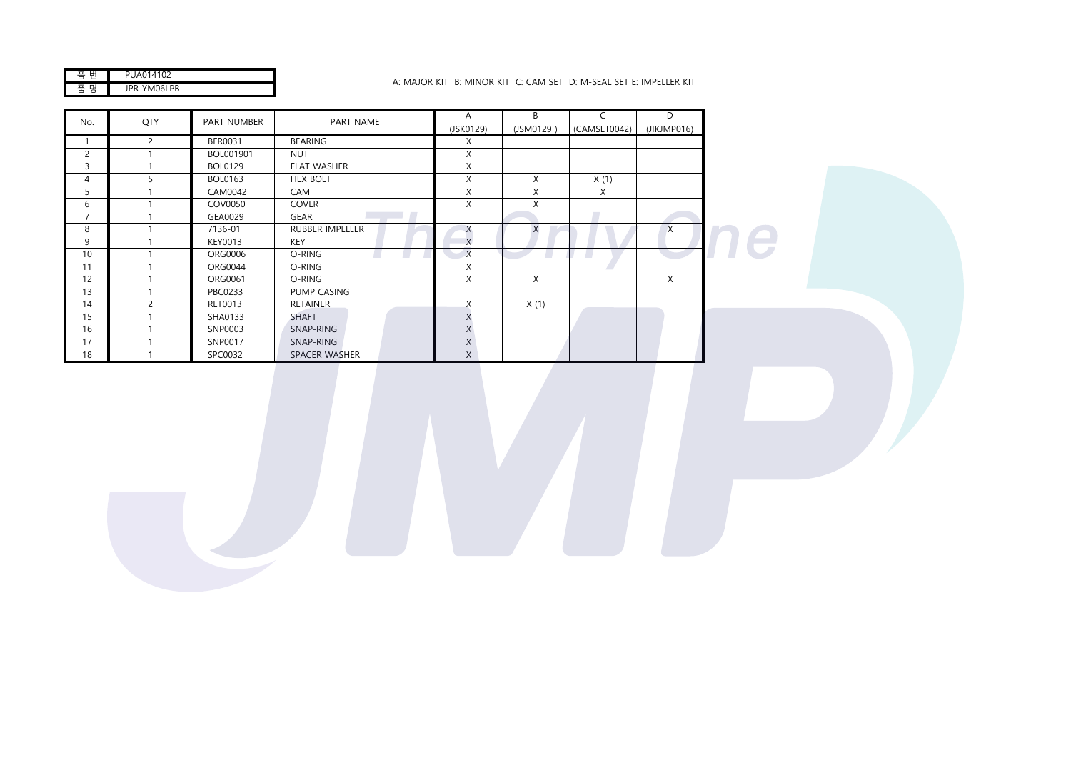| I<br>ப | 1.102  |
|--------|--------|
|        | 106LPB |
| -      | ν      |
| ⌒      | ٠.     |

## A: MAJOR KIT B: MINOR KIT C: CAM SET D: M-SEAL SET E: IMPELLER KIT

| QTY<br>No.     |               | PART NUMBER    | PART NAME              | A         | B         | $\mathsf{C}$ | D           |  |
|----------------|---------------|----------------|------------------------|-----------|-----------|--------------|-------------|--|
|                |               |                |                        | (JSK0129) | (JSM0129) | (CAMSET0042) | (JIKJMP016) |  |
| $\mathbf{I}$   | 2             | BER0031        | <b>BEARING</b>         | X         |           |              |             |  |
| $\overline{c}$ |               | BOL001901      | <b>NUT</b>             | X         |           |              |             |  |
| 3              |               | <b>BOL0129</b> | <b>FLAT WASHER</b>     | X         |           |              |             |  |
| $\overline{4}$ | 5             | <b>BOL0163</b> | <b>HEX BOLT</b>        | X         | X         | X(1)         |             |  |
| 5              |               | CAM0042        | CAM                    | X         | X         | X            |             |  |
| 6              |               | COV0050        | <b>COVER</b>           | X         | X         |              |             |  |
| $\overline{7}$ |               | GEA0029        | <b>GEAR</b>            |           |           |              |             |  |
| 8              |               | 7136-01        | <b>RUBBER IMPELLER</b> | X         | X         |              | X           |  |
| 9              |               | KEY0013        | <b>KEY</b>             | X         |           |              |             |  |
| 10             |               | <b>ORG0006</b> | O-RING                 | $\times$  |           |              |             |  |
| 11             |               | <b>ORG0044</b> | O-RING                 | X         |           |              |             |  |
| 12             |               | ORG0061        | O-RING                 | X         | X         |              | X           |  |
| 13             |               | PBC0233        | PUMP CASING            |           |           |              |             |  |
| 14             | $\mathcal{P}$ | RET0013        | <b>RETAINER</b>        | X         | X(1)      |              |             |  |
| 15             |               | SHA0133        | <b>SHAFT</b>           | X         |           |              |             |  |
| 16             |               | SNP0003        | SNAP-RING              | X         |           |              |             |  |
| 17             |               | SNP0017        | SNAP-RING              | $\times$  |           |              |             |  |
| 18             |               | SPC0032        | SPACER WASHER          | X         |           |              |             |  |